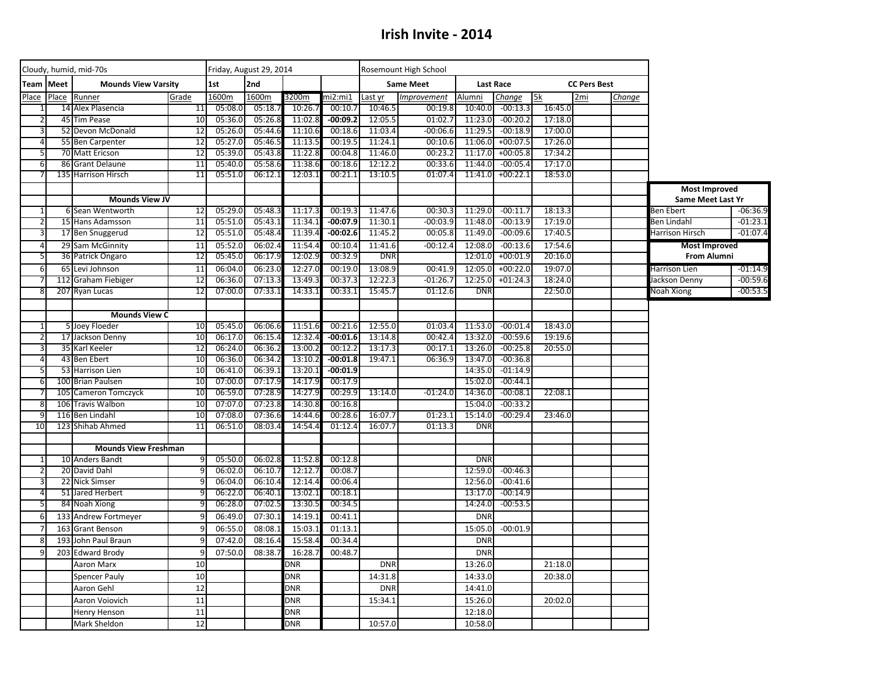## **Irish Invite - 2014**

|                | Cloudy, humid, mid-70s |                                             |                 |                    | Friday, August 29, 2014 |                    |                    |                    | Rosemount High School |                    |                          |                     |     |        |                                           |            |
|----------------|------------------------|---------------------------------------------|-----------------|--------------------|-------------------------|--------------------|--------------------|--------------------|-----------------------|--------------------|--------------------------|---------------------|-----|--------|-------------------------------------------|------------|
| Team           | Meet                   | <b>Mounds View Varsity</b>                  | 1st             | 2nd                |                         |                    | <b>Same Meet</b>   |                    | <b>Last Race</b>      |                    |                          | <b>CC Pers Best</b> |     |        |                                           |            |
| Place          | Place                  | Runner                                      | Grade           | 1600m              | 1600m                   | 3200m              | ni2:mi1            | Last yr            | Improvement           | Alumni             | Change                   | 5k                  | 2mi | Change |                                           |            |
|                |                        | 14 Alex Plasencia                           | 11              | 05:08.0            | 05:18.7                 | 10:26.             | 00:10.7            | 10:46.5            | 00:19.8               | 10:40.0            | $-00:13.3$               | 16:45.0             |     |        |                                           |            |
|                | 45                     | <b>Tim Pease</b>                            | 10              | 05:36.0            | 05:26.8                 | 11:02.8            | $-00:09.2$         | 12:05.5            | 01:02.7               | 11:23.0            | $-00:20.2$               | 17:18.0             |     |        |                                           |            |
| 3              |                        | 52 Devon McDonald                           | 12              | 05:26.0            | 05:44.6                 | 11:10.6            | 00:18.6            | 11:03.4            | $-00:06.6$            | 11:29.5            | $-00:18.9$               | 17:00.0             |     |        |                                           |            |
| $\overline{4}$ |                        | 55 Ben Carpenter                            | 12              | 05:27.0            | 05:46.                  | 11:13.5            | 00:19.5            | 11:24.1            | 00:10.6               | 11:06.0            | $+00:07.5$               | 17:26.0             |     |        |                                           |            |
| 5              |                        | 70 Matt Ericson                             | 12<br>11        | 05:39.0            | 05:43.8                 | 11:22.8<br>11:38.6 | 00:04.8            | 11:46.0            | 00:23.2               | 11:17.0<br>11:44.0 | $+00:05.8$<br>$-00:05.4$ | 17:34.2<br>17:17.0  |     |        |                                           |            |
| 6              | 86                     | <b>Grant Delaune</b><br>135 Harrison Hirsch | 11              | 05:40.0<br>05:51.0 | 05:58.6<br>06:12.1      | 12:03.1            | 00:18.6<br>00:21.1 | 12:12.2<br>13:10.5 | 00:33.6<br>01:07.4    | 11:41.0            | $+00:22.1$               | 18:53.0             |     |        |                                           |            |
|                |                        |                                             |                 |                    |                         |                    |                    |                    |                       |                    |                          |                     |     |        |                                           |            |
|                |                        | <b>Mounds View JV</b>                       |                 |                    |                         |                    |                    |                    |                       |                    |                          |                     |     |        | <b>Most Improved</b><br>Same Meet Last Yr |            |
| $\mathbf{1}$   |                        | 6 Sean Wentworth                            | 12              | 05:29.0            | 05:48.3                 | 11:17.3            | 00:19.3            | 11:47.6            | 00:30.3               | 11:29.0            | $-00:11.7$               | 18:13.3             |     |        | Ben Ebert                                 | $-06:36.9$ |
| 2              |                        | 15 Hans Adamsson                            | 11              | 05:51.0            | 05:43.2                 | 11:34.1            | $-00:07.9$         | 11:30.1            | $-00:03.9$            | 11:48.0            | $-00:13.9$               | 17:19.0             |     |        | <b>Ben Lindahl</b>                        | $-01:23.1$ |
| 3              |                        | 17 Ben Snuggerud                            | 12              | 05:51.0            | 05:48.4                 | 11:39.4            | $-00:02.6$         | 11:45.2            | 00:05.8               | 11:49.0            | $-00:09.6$               | 17:40.5             |     |        | Harrison Hirsch                           | $-01:07.4$ |
| $\overline{4}$ |                        | 29 Sam McGinnity                            | 11              | 05:52.0            | 06:02.4                 | 11:54.4            | 00:10.4            | 11:41.6            | $-00:12.4$            | 12:08.0            | $-00:13.6$               | 17:54.6             |     |        | <b>Most Improved</b>                      |            |
| 5              |                        | 36 Patrick Ongaro                           | 12              | 05:45.0            | 06:17.9                 | 12:02.9            | 00:32.9            | <b>DNR</b>         |                       | 12:01.0            | $+00:01.9$               | 20:16.0             |     |        | <b>From Alumni</b>                        |            |
| 6              | 65                     | Levi Johnson                                | 11              | 06:04.0            | 06:23.0                 | 12:27.0            | 00:19.0            | 13:08.9            | 00:41.9               | 12:05.0            | $+00:22.0$               | 19:07.0             |     |        | Harrison Lien                             | $-01:14.9$ |
|                | 112                    | <b>Graham Fiebiger</b>                      | 12              | 06:36.0            | 07:13.3                 | 13:49.3            | 00:37.3            | 12:22.3            | $-01:26.7$            | 12:25.0            | $+01:24.3$               | 18:24.0             |     |        | Jackson Denny                             | $-00:59.6$ |
| 8              | 207                    | <b>Ryan Lucas</b>                           | $\overline{12}$ | 07:00.0            | 07:33.                  | 14:33.1            | 00:33.1            | 15:45.             | 01:12.6               | <b>DNR</b>         |                          | 22:50.0             |     |        | Noah Xiong                                | $-00:53.5$ |
|                |                        |                                             |                 |                    |                         |                    |                    |                    |                       |                    |                          |                     |     |        |                                           |            |
|                |                        | <b>Mounds View C</b>                        |                 |                    |                         |                    |                    |                    |                       |                    |                          |                     |     |        |                                           |            |
| 1              |                        | 5 Joey Floeder                              | 10              | 05:45.0            | 06:06.6                 | 11:51.6            | 00:21.6            | 12:55.0            | 01:03.4               | 11:53.0            | $-00:01.4$               | 18:43.0             |     |        |                                           |            |
| $\overline{2}$ |                        | 17 Jackson Denny                            | 10              | 06:17.0            | 06:15.4                 | 12:32.4            | $-00:01.6$         | 13:14.8            | 00:42.4               | 13:32.0            | $-00:59.6$               | 19:19.6             |     |        |                                           |            |
| 3              |                        | 35 Karl Keeler                              | 12              | 06:24.0            | 06:36.2                 | 13:00.2            | 00:12.2            | 13:17.3            | 00:17.1               | 13:26.0            | $-00:25.8$               | 20:55.0             |     |        |                                           |            |
| $\overline{4}$ |                        | 43 Ben Ebert                                | 10              | 06:36.0            | 06:34.2                 | 13:10.2            | $-00:01.8$         | 19:47.1            | 06:36.9               | 13:47.0            | $-00:36.8$               |                     |     |        |                                           |            |
| 5              |                        | 53 Harrison Lien                            | 10              | 06:41.0            | 06:39.2                 | 13:20.1            | $-00:01.9$         |                    |                       | 14:35.0            | $-01:14.9$               |                     |     |        |                                           |            |
| 6              |                        | 100 Brian Paulsen                           | 10              | 07:00.0            | 07:17.9                 | 14:17.9            | 00:17.9            |                    |                       | 15:02.0            | $-00:44.1$               |                     |     |        |                                           |            |
|                |                        | 105 Cameron Tomczyck                        | 10              | 06:59.0            | 07:28.9                 | 14:27.9            | 00:29.9            | 13:14.0            | $-01:24.0$            | 14:36.0            | $-00:08.1$               | 22:08.1             |     |        |                                           |            |
| 8              |                        | 106 Travis Walbon                           | 10              | 07:07.0            | 07:23.8                 | 14:30.8            | 00:16.8            |                    |                       | 15:04.0            | $-00:33.2$               |                     |     |        |                                           |            |
| q              |                        | 116 Ben Lindahl                             | 10              | 07:08.0            | 07:36.6                 | 14:44.             | 00:28.6            | 16:07.7            | 01:23.1               | 15:14.0            | $-00:29.4$               | 23:46.0             |     |        |                                           |            |
| 10             |                        | 123 Shihab Ahmed                            | $\overline{11}$ | 06:51.0            | 08:03.4                 | 14:54.4            | 01:12.4            | 16:07.7            | 01:13.3               | <b>DNR</b>         |                          |                     |     |        |                                           |            |
|                |                        | <b>Mounds View Freshman</b>                 |                 |                    |                         |                    |                    |                    |                       |                    |                          |                     |     |        |                                           |            |
| $\mathbf{1}$   |                        | 10 Anders Bandt                             | 9               | 05:50.0            | 06:02.8                 | 11:52.8            | 00:12.8            |                    |                       | <b>DNR</b>         |                          |                     |     |        |                                           |            |
| 2              |                        | 20 David Dahl                               | ٩               | 06:02.0            | 06:10.7                 | 12:12.             | 00:08.7            |                    |                       | 12:59.0            | $-00:46.3$               |                     |     |        |                                           |            |
| 3              |                        | 22 Nick Simser                              |                 | 06:04.0            | 06:10.4                 | 12:14.4            | 00:06.4            |                    |                       | 12:56.0            | $-00:41.6$               |                     |     |        |                                           |            |
| $\overline{4}$ |                        | 51 Jared Herbert                            |                 | 06:22.0            | 06:40.2                 | 13:02.2            | 00:18.1            |                    |                       | 13:17.0            | $-00:14.9$               |                     |     |        |                                           |            |
| 5              |                        | 84 Noah Xiong                               |                 | 06:28.0            | 07:02.5                 | 13:30.5            | 00:34.5            |                    |                       | 14:24.0            | $-00:53.5$               |                     |     |        |                                           |            |
| 6              |                        | 133 Andrew Fortmeyer                        |                 | 06:49.0            | 07:30.3                 | 14:19.             | 00:41.1            |                    |                       | <b>DNR</b>         |                          |                     |     |        |                                           |            |
| $\overline{7}$ |                        | 163 Grant Benson                            |                 | 06:55.0            | 08:08.2                 | 15:03.1            | 01:13.1            |                    |                       | 15:05.0            | $-00:01.9$               |                     |     |        |                                           |            |
| 8              |                        | 193 John Paul Braun                         | C               | 07:42.0            | 08:16.                  | 15:58.             | 00:34.4            |                    |                       | <b>DNR</b>         |                          |                     |     |        |                                           |            |
| 9              |                        | 203 Edward Brody                            |                 | 07:50.0            | 08:38.7                 | 16:28.             | 00:48.7            |                    |                       | <b>DNR</b>         |                          |                     |     |        |                                           |            |
|                |                        | Aaron Marx                                  | 10              |                    |                         | <b>DNR</b>         |                    | <b>DNF</b>         |                       | 13:26.0            |                          | 21:18.0             |     |        |                                           |            |
|                |                        | <b>Spencer Pauly</b>                        | 10              |                    |                         | <b>DNR</b>         |                    | 14:31.8            |                       | 14:33.0            |                          | 20:38.0             |     |        |                                           |            |
|                |                        | Aaron Gehl                                  | 12              |                    |                         | <b>DNR</b>         |                    | <b>DNR</b>         |                       | 14:41.0            |                          |                     |     |        |                                           |            |
|                |                        | Aaron Voiovich                              | 11              |                    |                         | <b>DNR</b>         |                    | 15:34.1            |                       | 15:26.0            |                          | 20:02.0             |     |        |                                           |            |
|                |                        | Henry Henson                                | 11              |                    |                         | DNR                |                    |                    |                       | 12:18.0            |                          |                     |     |        |                                           |            |
|                |                        | Mark Sheldon                                | 12              |                    |                         | DNR                |                    | 10:57.0            |                       | 10:58.0            |                          |                     |     |        |                                           |            |
|                |                        |                                             |                 |                    |                         |                    |                    |                    |                       |                    |                          |                     |     |        |                                           |            |